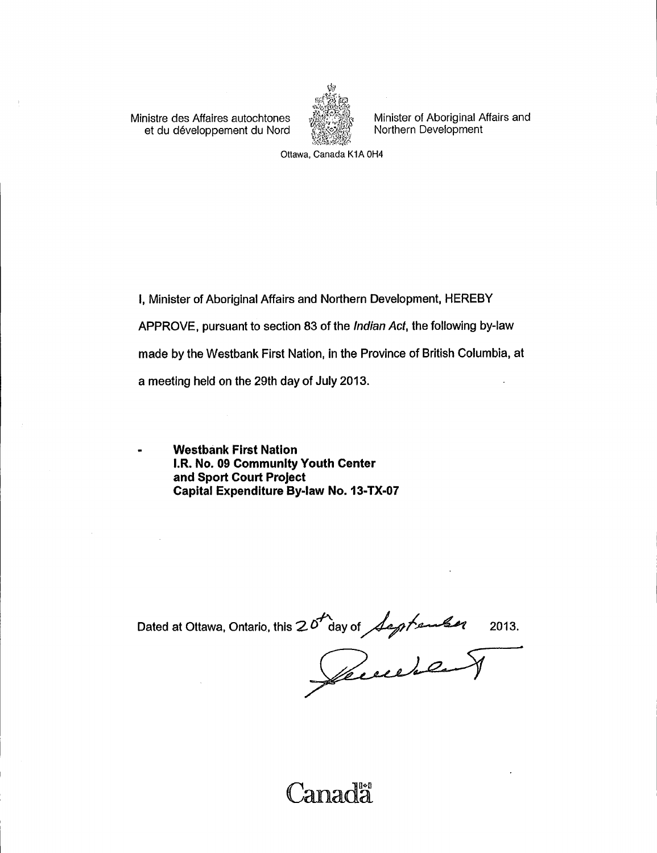Ministre des Affaires autochtones Minister of Aboriginal Affairs and<br>et du développement du Nord (1998) Morthern Development et du développement du Nord



Ottawa, Canada K1A 0H4

1, Minister of Aboriginal Affairs and Northern Development, HEREBY APPROVE, pursuant to section 83 of the Indian Act, the following by-law made by the Westbank First Nation, in the Province of British Columbia, at a meeting held on the 29th day of July 2013.

Westbank First Nation **I.R. No. 09 Community Youth Center** and Sport Court Project Capital Expenditure By-law No. 13-TX-07

Dated at Ottawa, Ontario, this  $20^{11}$  day of *Legitenber* 2013.

Canadà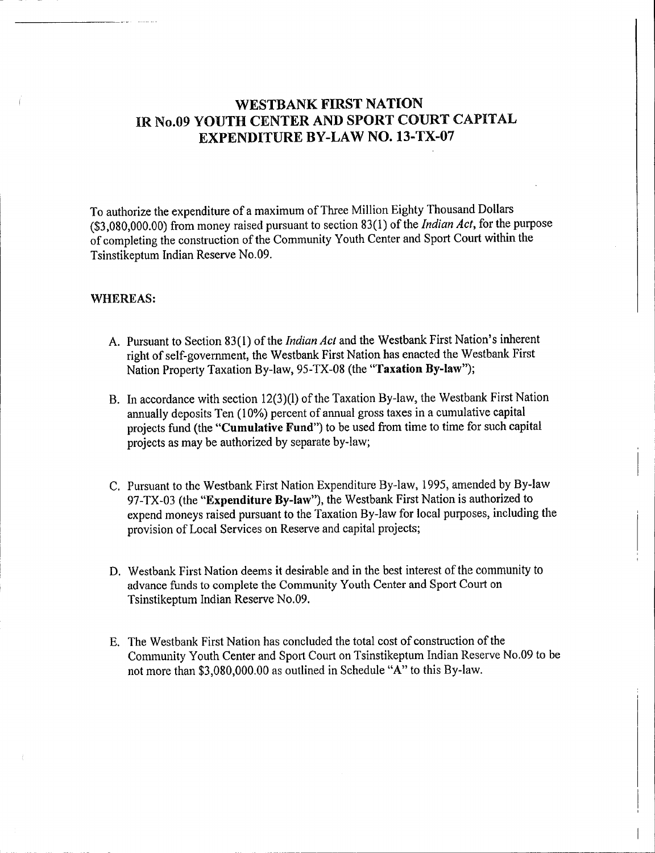# WESTBANK FIRST NATION IR No.09 YOUTH CENTER AND SPORT COURT CAPITAL EXPENDITURE BY-LAW NO. 13-TX-07

To authorize the expenditure of <sup>a</sup> maximum of Three Million Eighty Thousand Dollars  $(33,080,000.00)$  from money raised pursuant to section 83(1) of the *Indian Act*, for the purpose of completing the construction of the Community Youth Center and Sport Court within the Tsinstikeptum Indian Reserve No.09.

## WHEREAS:

- A. Pursuant to Section 83(1) of the Indian Act and the Westbank First Nation's inherent right of self-government, the Westbank First Nation has enacted the Westbank First Nation Property Taxation By-law, 95-TX-08 (the "Taxation By-law");
- B. In accordance with section 12(3)(1) of the Taxation By-law, the Westbank First Nation annually deposits Ten (10%) percent of annual gross taxes in a cumulative capital projects fund (the "Cumulative Fund") to be used from time to time for such capital projects as may be authorized by separate by -law;
- C. Pursuant to the Westbank First Nation Expenditure By -law, 1995, amended by By -law 97-TX-03 (the "Expenditure By-law"), the Westbank First Nation is authorized to expend moneys raised pursuant to the Taxation By -law for local purposes, including the provision of Local Services on Reserve and capital projects;
- D. Westbank First Nation deems it desirable and in the best interest of the community to advance funds to complete the Community Youth Center and Sport Court on Tsinstikeptum Indian Reserve No.09.
- E. The Westbank First Nation has concluded the total cost of construction of the Community Youth Center and Sport Court on Tsinstikeptum Indian Reserve No.09 to be not more than \$3, 080,000.00 as outlined in Schedule " A" to this By -law.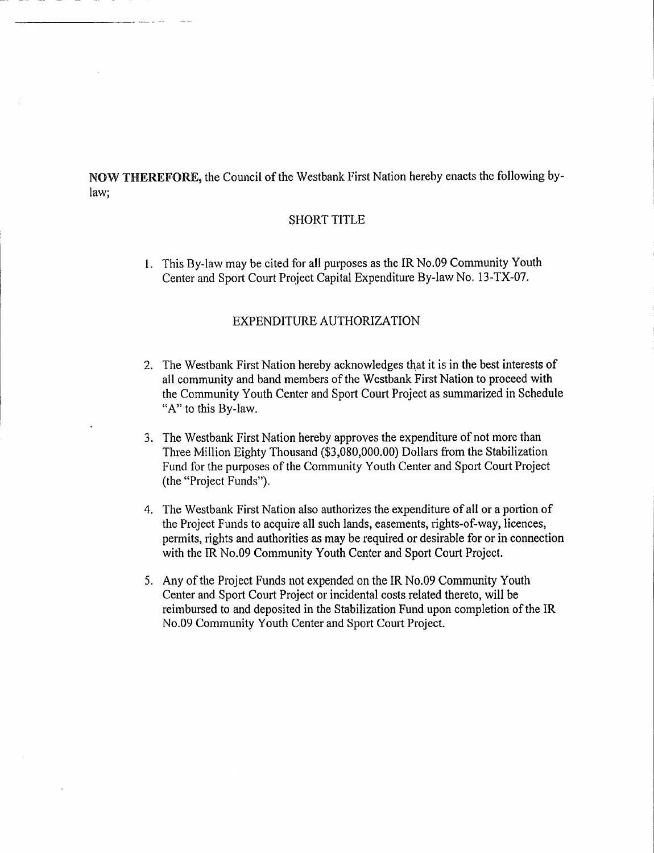NOW THEREFORE, the Council of the Westbank First Nation hereby enacts the following bylaw;

### SHORT TITLE

1. This By -law may be cited for all purposes as the IR No.09 Community Youth Center and Sport Court Project Capital Expenditure By-law No. 13-TX-07.

## EXPENDITURE AUTHORIZATION

- 2. The Westbank First Nation hereby acknowledges that it is in the best interests of all community and band members of the Westbank First Nation to proceed with the Community Youth Center and Sport Court Project as summarized in Schedule "A" to this By-law.
- 3. The Westbank First Nation hereby approves the expenditure of not more than Three Million Eighty Thousand (\$3,080,000.00) Dollars from the Stabilization Fund for the purposes of the Community Youth Center and Sport Court Project (the "Project Funds").
- 4. The Westbank First Nation also authorizes the expenditure of all or <sup>a</sup> portion of the Project Funds to acquire all such lands, easements, rights-of-way, licences, permits, rights and authorities as may be required or desirable for or in connection with the IR No.09 Community Youth Center and Sport Court Project.
- 5. Any of the Project Funds not expended on the IR No.09 Community Youth Center and Sport Court Project or incidental costs related thereto, will be reimbursed to and deposited in the Stabilization Fund upon completion of the IR No.09 Community Youth Center and Sport Court Project.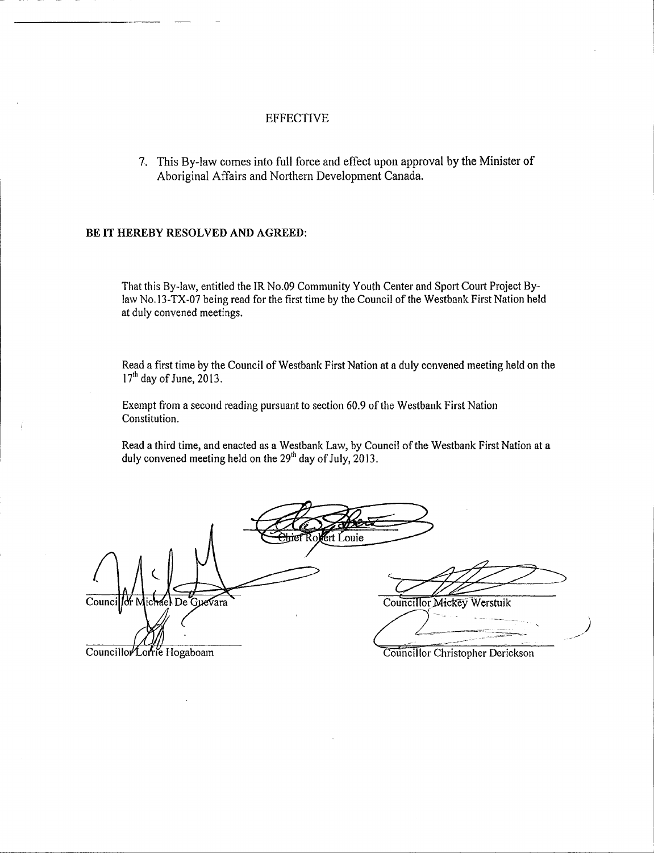## EFFECTIVE

7. This By -law comes into full force and effect upon approval by the Minister of Aboriginal Affairs and Northern Development Canada.

### BE IT HEREBY RESOLVED AND AGREED:

That this By -law, entitled the IR No.09 Community Youth Center and Sport Court Project Bylaw No.13-TX-07 being read for the first time by the Council of the Westbank First Nation held at duly convened meetings.

Read <sup>a</sup> first time by the Council of Westbank First Nation at a duly convened meeting held on the  $17<sup>th</sup>$  day of June, 2013.

Exempt from <sup>a</sup> second reading pursuant to section 60.9 of the Westbank First Nation Constitution.

Read a third time, and enacted as a Westbank Law, by Council of the Westbank First Nation at a duly convened meeting held on the  $29<sup>th</sup>$  day of July, 2013.

Ert Louie Councillor Michael De Guevara Councillor Mickey Werstuik Councillor Loftie Hogaboam Councillor Christopher Derickson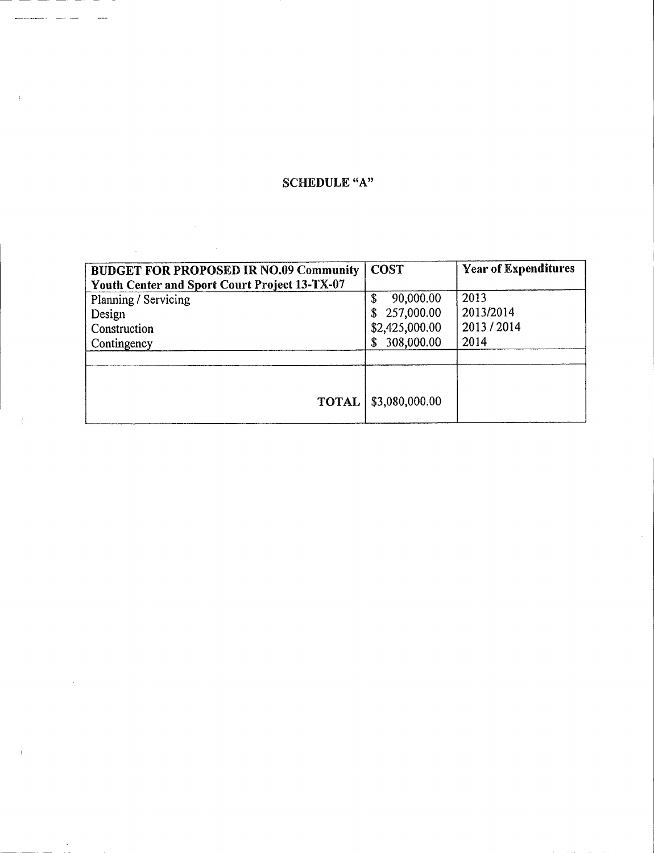# SCHEDULE "A"

 $\sim$ 

 $\hat{\mathcal{A}}$ 

| <b>BUDGET FOR PROPOSED IR NO.09 Community</b> | <b>COST</b>     | <b>Year of Expenditures</b> |
|-----------------------------------------------|-----------------|-----------------------------|
| Youth Center and Sport Court Project 13-TX-07 |                 |                             |
| Planning / Servicing                          | 90,000.00<br>\$ | 2013                        |
| Design                                        | 257,000.00      | 2013/2014                   |
| Construction                                  | \$2,425,000.00  | 2013/2014                   |
| Contingency                                   | 308,000.00      | 2014                        |
|                                               |                 |                             |
|                                               |                 |                             |
| <b>TOTAL</b>                                  | \$3,080,000.00  |                             |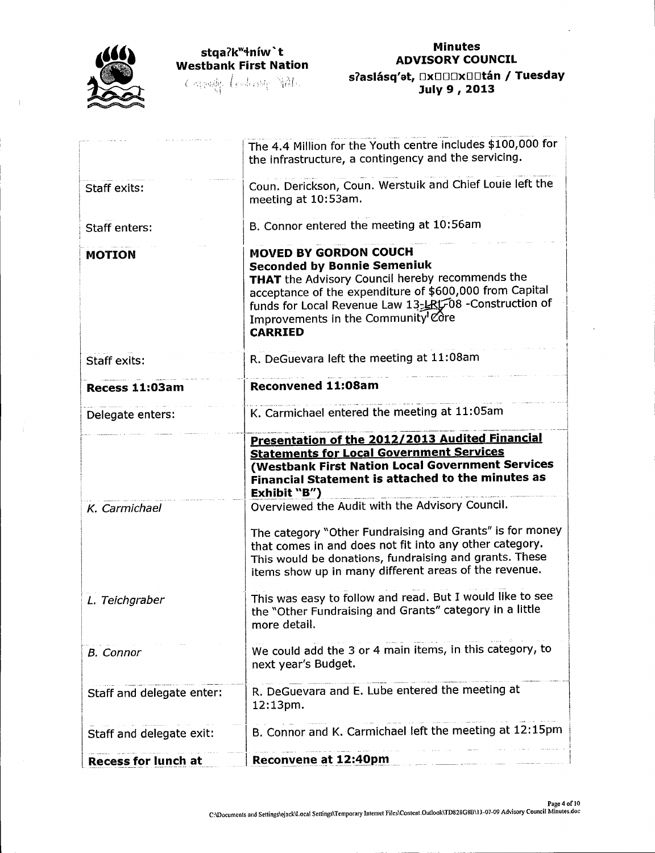

## Minutes ADVISORY COUNCIL s ?aslásq'et, Dx000x00tán / Tuesday July 9 , 2013

|                            | The 4.4 Million for the Youth centre includes \$100,000 for<br>the infrastructure, a contingency and the servicing.                                                                                                                                                                                |
|----------------------------|----------------------------------------------------------------------------------------------------------------------------------------------------------------------------------------------------------------------------------------------------------------------------------------------------|
| Staff exits:               | Coun. Derickson, Coun. Werstuik and Chief Louie left the<br>meeting at 10:53am.                                                                                                                                                                                                                    |
| <b>Staff enters:</b>       | B. Connor entered the meeting at 10:56am                                                                                                                                                                                                                                                           |
| <b>MOTION</b>              | <b>MOVED BY GORDON COUCH</b><br><b>Seconded by Bonnie Semeniuk</b><br>THAT the Advisory Council hereby recommends the<br>acceptance of the expenditure of \$600,000 from Capital<br>funds for Local Revenue Law 13-LRL-08 -Construction of<br>Improvements in the Community Core<br><b>CARRIED</b> |
| <b>Staff exits:</b>        | R. DeGuevara left the meeting at 11:08am                                                                                                                                                                                                                                                           |
| Recess 11:03am             | <b>Reconvened 11:08am</b>                                                                                                                                                                                                                                                                          |
| Delegate enters:           | K. Carmichael entered the meeting at 11:05am                                                                                                                                                                                                                                                       |
|                            | Presentation of the 2012/2013 Audited Financial<br><b>Statements for Local Government Services</b><br>(Westbank First Nation Local Government Services<br>Financial Statement is attached to the minutes as<br>Exhibit "B")                                                                        |
| K. Carmichael              | Overviewed the Audit with the Advisory Council.<br>The category "Other Fundraising and Grants" is for money<br>that comes in and does not fit into any other category.<br>This would be donations, fundraising and grants. These<br>items show up in many different areas of the revenue.          |
| L. Teichgraber             | This was easy to follow and read. But I would like to see<br>the "Other Fundraising and Grants" category in a little<br>more detail.                                                                                                                                                               |
| <b>B.</b> Connor           | We could add the 3 or 4 main items, in this category, to<br>next year's Budget.                                                                                                                                                                                                                    |
| Staff and delegate enter:  | R. DeGuevara and E. Lube entered the meeting at<br>12:13pm.                                                                                                                                                                                                                                        |
| Staff and delegate exit:   | B. Connor and K. Carmichael left the meeting at 12:15pm                                                                                                                                                                                                                                            |
| <b>Recess for lunch at</b> | Reconvene at 12:40pm                                                                                                                                                                                                                                                                               |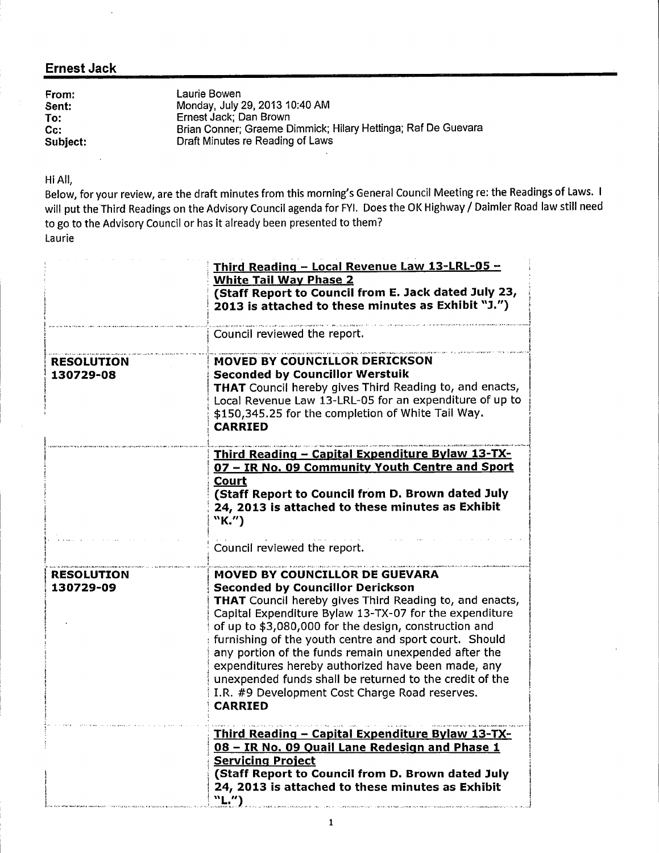## Ernest Jack

 $\sim$ 

| From:    | Laurie Bowen<br>Monday, July 29, 2013 10:40 AM                |
|----------|---------------------------------------------------------------|
| Sent:    |                                                               |
| To:      | Ernest Jack; Dan Brown                                        |
| $Cc$ :   | Brian Conner; Graeme Dimmick; Hilary Hettinga; Raf De Guevara |
| Subject: | Draft Minutes re Reading of Laws                              |

Hi All,

Below, for your review, are the draft minutes from this morning's General Council Meeting re: the Readings of Laws. I will put the Third Readings on the Advisory Council agenda for FYI. Does the OK Highway / Daimler Road law still need to go to the Advisory Council or has it already been presented to them? Laurie

|                                | Third Reading - Local Revenue Law 13-LRL-05 -<br><b>White Tail Way Phase 2</b><br>(Staff Report to Council from E. Jack dated July 23,<br>2013 is attached to these minutes as Exhibit "J.")                                                                                                                                                                                                                                                                                                                                                                          |
|--------------------------------|-----------------------------------------------------------------------------------------------------------------------------------------------------------------------------------------------------------------------------------------------------------------------------------------------------------------------------------------------------------------------------------------------------------------------------------------------------------------------------------------------------------------------------------------------------------------------|
|                                | Council reviewed the report.                                                                                                                                                                                                                                                                                                                                                                                                                                                                                                                                          |
| <b>RESOLUTION</b><br>130729-08 | MOVED BY COUNCILLOR DERICKSON<br><b>Seconded by Councillor Werstuik</b><br><b>THAT</b> Council hereby gives Third Reading to, and enacts,<br>Local Revenue Law 13-LRL-05 for an expenditure of up to<br>\$150,345.25 for the completion of White Tail Way.<br><b>CARRIED</b>                                                                                                                                                                                                                                                                                          |
|                                | Third Reading - Capital Expenditure Bylaw 13-TX-<br>07 - IR No. 09 Community Youth Centre and Sport                                                                                                                                                                                                                                                                                                                                                                                                                                                                   |
|                                | <b>Court</b><br>(Staff Report to Council from D. Brown dated July<br>24, 2013 is attached to these minutes as Exhibit<br>"K.")                                                                                                                                                                                                                                                                                                                                                                                                                                        |
|                                | Council reviewed the report.                                                                                                                                                                                                                                                                                                                                                                                                                                                                                                                                          |
| <b>RESOLUTION</b><br>130729-09 | MOVED BY COUNCILLOR DE GUEVARA<br><b>Seconded by Councillor Derickson</b><br><b>THAT</b> Council hereby gives Third Reading to, and enacts,<br>Capital Expenditure Bylaw 13-TX-07 for the expenditure<br>of up to \$3,080,000 for the design, construction and<br>furnishing of the youth centre and sport court. Should<br>any portion of the funds remain unexpended after the<br>expenditures hereby authorized have been made, any<br>unexpended funds shall be returned to the credit of the<br>I.R. #9 Development Cost Charge Road reserves.<br><b>CARRIED</b> |
|                                | Third Reading - Capital Expenditure Bylaw 13-TX-<br>08 - IR No. 09 Quail Lane Redesign and Phase 1<br><b>Servicing Project</b><br>(Staff Report to Council from D. Brown dated July<br>24, 2013 is attached to these minutes as Exhibit<br>"L."                                                                                                                                                                                                                                                                                                                       |